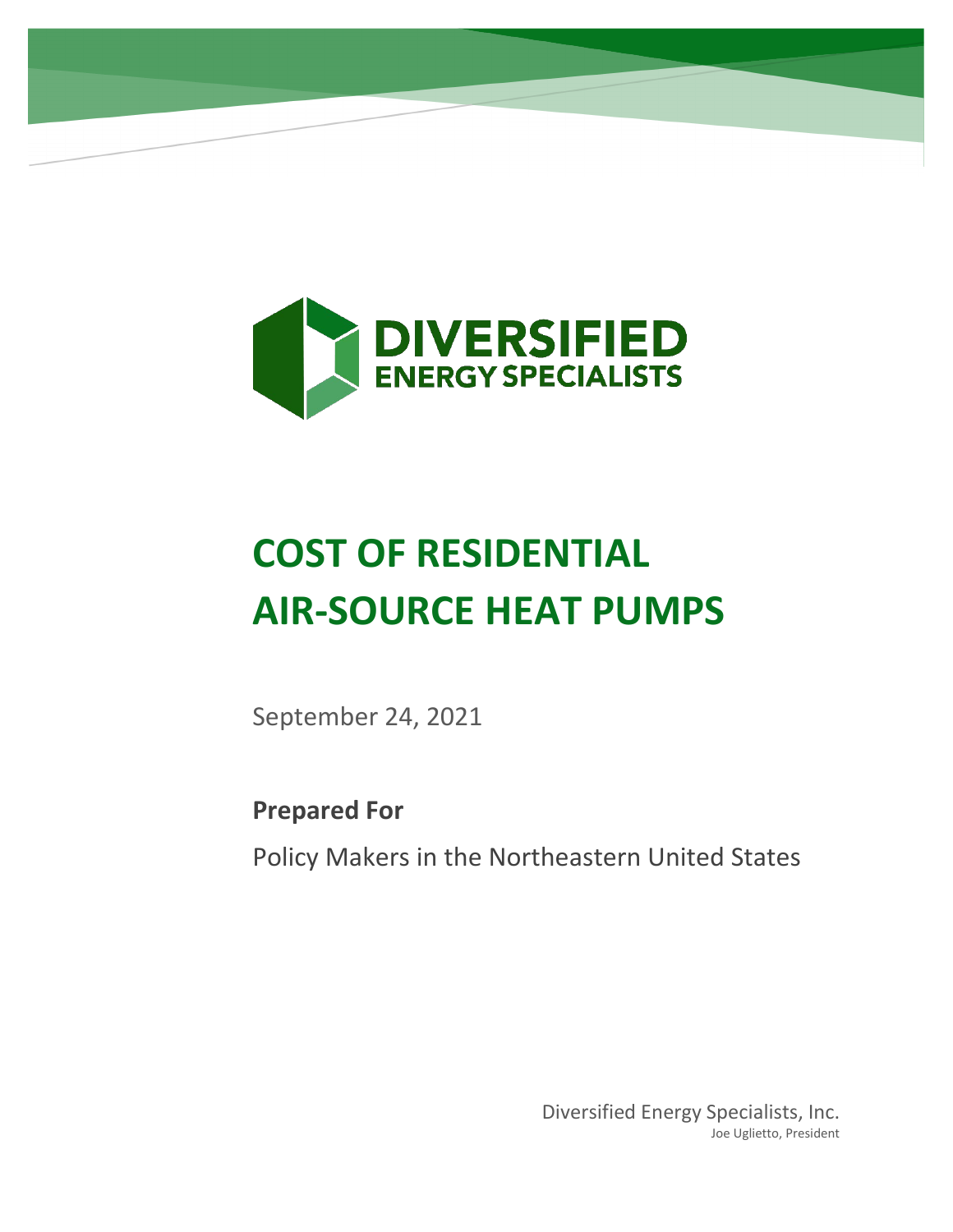

# **COST OF RESIDENTIAL AIR-SOURCE HEAT PUMPS**

September 24, 2021

**Prepared For**

Policy Makers in the Northeastern United States

Diversified Energy Specialists, Inc. Joe Uglietto, President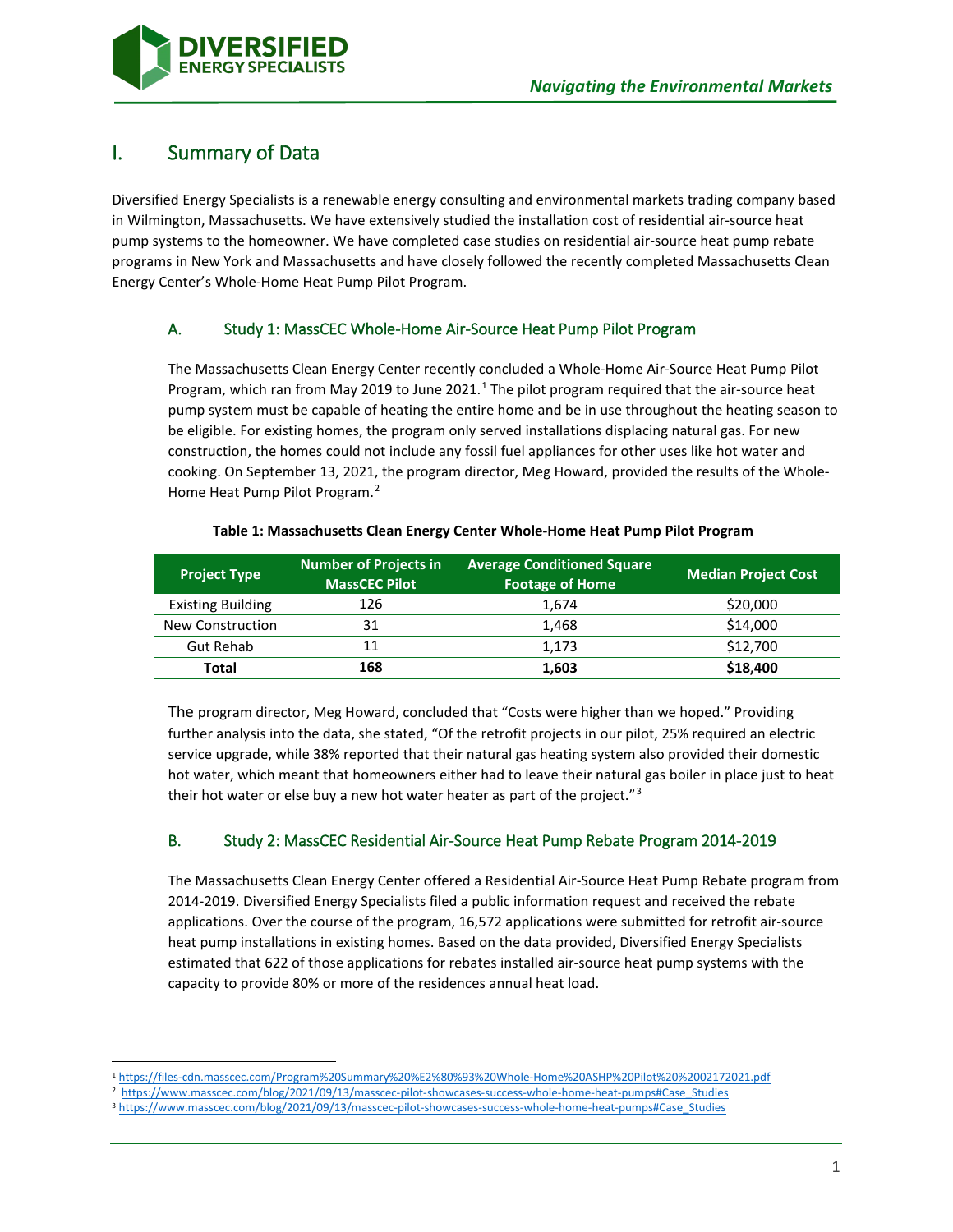

## I. Summary of Data

Diversified Energy Specialists is a renewable energy consulting and environmental markets trading company based in Wilmington, Massachusetts. We have extensively studied the installation cost of residential air-source heat pump systems to the homeowner. We have completed case studies on residential air-source heat pump rebate programs in New York and Massachusetts and have closely followed the recently completed Massachusetts Clean Energy Center's Whole-Home Heat Pump Pilot Program.

## A. Study 1: MassCEC Whole-Home Air-Source Heat Pump Pilot Program

The Massachusetts Clean Energy Center recently concluded a Whole-Home Air-Source Heat Pump Pilot Program, which ran from May 20[1](#page-1-0)9 to June 2021.<sup>1</sup> The pilot program required that the air-source heat pump system must be capable of heating the entire home and be in use throughout the heating season to be eligible. For existing homes, the program only served installations displacing natural gas. For new construction, the homes could not include any fossil fuel appliances for other uses like hot water and cooking. On September 13, 2021, the program director, Meg Howard, provided the results of the Whole-Home Heat Pump Pilot Program.<sup>[2](#page-1-1)</sup>

| <b>Project Type</b>      | <b>Number of Projects in</b><br><b>MassCEC Pilot</b> | <b>Average Conditioned Square</b><br><b>Footage of Home</b> | <b>Median Project Cost</b> |
|--------------------------|------------------------------------------------------|-------------------------------------------------------------|----------------------------|
| <b>Existing Building</b> | 126                                                  | 1.674                                                       | \$20,000                   |
| New Construction         | 31                                                   | 1,468                                                       | \$14,000                   |
| <b>Gut Rehab</b>         | 11                                                   | 1.173                                                       | \$12,700                   |
| <b>Total</b>             | 168                                                  | 1,603                                                       | \$18,400                   |

#### **Table 1: Massachusetts Clean Energy Center Whole-Home Heat Pump Pilot Program**

The program director, Meg Howard, concluded that "Costs were higher than we hoped." Providing further analysis into the data, she stated, "Of the retrofit projects in our pilot, 25% required an electric service upgrade, while 38% reported that their natural gas heating system also provided their domestic hot water, which meant that homeowners either had to leave their natural gas boiler in place just to heat their hot water or else buy a new hot water heater as part of the project."<sup>[3](#page-1-2)</sup>

## B. Study 2: MassCEC Residential Air-Source Heat Pump Rebate Program 2014-2019

The Massachusetts Clean Energy Center offered a Residential Air-Source Heat Pump Rebate program from 2014-2019. Diversified Energy Specialists filed a public information request and received the rebate applications. Over the course of the program, 16,572 applications were submitted for retrofit air-source heat pump installations in existing homes. Based on the data provided, Diversified Energy Specialists estimated that 622 of those applications for rebates installed air-source heat pump systems with the capacity to provide 80% or more of the residences annual heat load.

<span id="page-1-0"></span><sup>1</sup> <https://files-cdn.masscec.com/Program%20Summary%20%E2%80%93%20Whole-Home%20ASHP%20Pilot%20%2002172021.pdf>

<sup>2</sup> [https://www.masscec.com/blog/2021/09/13/masscec-pilot-showcases-success-whole-home-heat-pumps#Case\\_Studies](https://www.masscec.com/blog/2020/09/29/september-whole-home-heat-pump-pilot-update-still-time-apply)

<span id="page-1-2"></span><span id="page-1-1"></span><sup>3</sup> [https://www.masscec.com/blog/2021/09/13/masscec-pilot-showcases-success-whole-home-heat-pumps#Case\\_Studies](https://www.masscec.com/blog/2021/09/13/masscec-pilot-showcases-success-whole-home-heat-pumps#Case_Studies)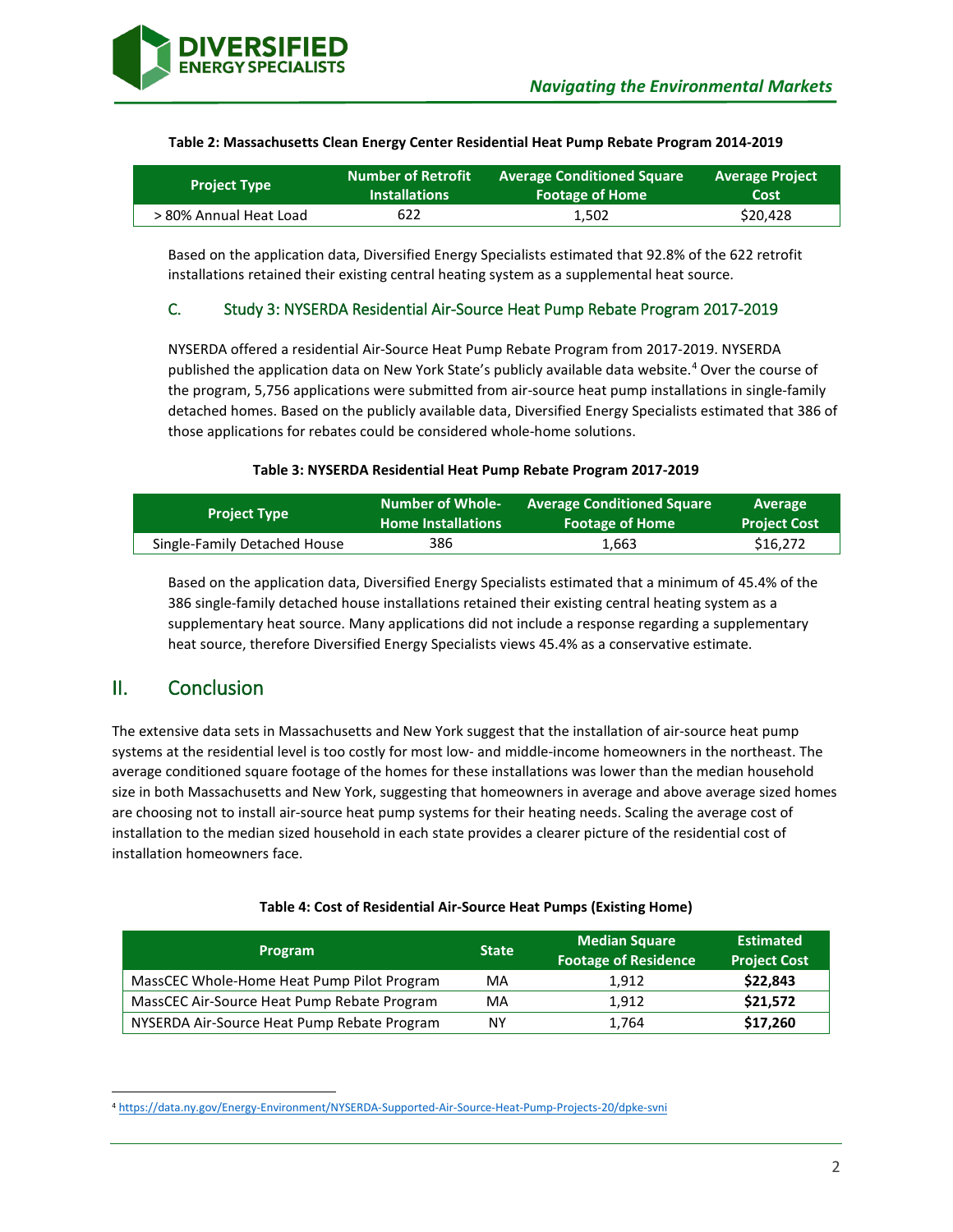

| <b>Project Type</b>    | <b>Number of Retrofit</b> | <b>Average Conditioned Square</b> | <b>Average Project</b> |
|------------------------|---------------------------|-----------------------------------|------------------------|
|                        | <b>Installations</b>      | <b>Footage of Home</b>            | Cost                   |
| > 80% Annual Heat Load | 622                       | 1.502                             | \$20,428               |

#### **Table 2: Massachusetts Clean Energy Center Residential Heat Pump Rebate Program 2014-2019**

Based on the application data, Diversified Energy Specialists estimated that 92.8% of the 622 retrofit installations retained their existing central heating system as a supplemental heat source.

### C. Study 3: NYSERDA Residential Air-Source Heat Pump Rebate Program 2017-2019

NYSERDA offered a residential Air-Source Heat Pump Rebate Program from 2017-2019. NYSERDA published the application data on New York State's publicly available data website. [4](#page-2-0) Over the course of the program, 5,756 applications were submitted from air-source heat pump installations in single-family detached homes. Based on the publicly available data, Diversified Energy Specialists estimated that 386 of those applications for rebates could be considered whole-home solutions.

#### **Table 3: NYSERDA Residential Heat Pump Rebate Program 2017-2019**

| <b>Project Type</b>          | <b>Number of Whole-</b>   | <b>Average Conditioned Square</b> | <b>Average</b>      |
|------------------------------|---------------------------|-----------------------------------|---------------------|
|                              | <b>Home Installations</b> | <b>Footage of Home</b>            | <b>Project Cost</b> |
| Single-Family Detached House | 386                       | 1.663                             | \$16,272            |

Based on the application data, Diversified Energy Specialists estimated that a minimum of 45.4% of the 386 single-family detached house installations retained their existing central heating system as a supplementary heat source. Many applications did not include a response regarding a supplementary heat source, therefore Diversified Energy Specialists views 45.4% as a conservative estimate.

## II. Conclusion

The extensive data sets in Massachusetts and New York suggest that the installation of air-source heat pump systems at the residential level is too costly for most low- and middle-income homeowners in the northeast. The average conditioned square footage of the homes for these installations was lower than the median household size in both Massachusetts and New York, suggesting that homeowners in average and above average sized homes are choosing not to install air-source heat pump systems for their heating needs. Scaling the average cost of installation to the median sized household in each state provides a clearer picture of the residential cost of installation homeowners face.

| <b>Program</b>                              | <b>State</b> | <b>Median Square</b><br><b>Footage of Residence</b> | <b>Estimated</b><br><b>Project Cost</b> |
|---------------------------------------------|--------------|-----------------------------------------------------|-----------------------------------------|
| MassCEC Whole-Home Heat Pump Pilot Program  | MA           | 1.912                                               | \$22,843                                |
| MassCEC Air-Source Heat Pump Rebate Program | MA           | 1.912                                               | \$21,572                                |
| NYSERDA Air-Source Heat Pump Rebate Program | NΥ           | 1.764                                               | \$17,260                                |

<span id="page-2-0"></span><sup>4</sup> <https://data.ny.gov/Energy-Environment/NYSERDA-Supported-Air-Source-Heat-Pump-Projects-20/dpke-svni>